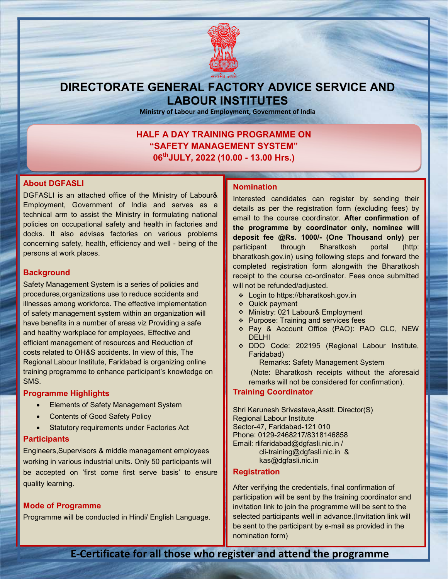

## DIRECTORATE GENERAL FACTORY ADVICE SERVICE AND LABOUR INSTITUTES

Ministry of Labour and Employment, Government of India

#### HALF A DAY TRAINING PROGRAMME ON "SAFETY MANAGEMENT SYSTEM" 06<sup>th</sup>JULY, 2022 (10.00 - 13.00 Hrs.)

#### About DGFASLI

DGFASLI is an attached office of the Ministry of Labour& Employment, Government of India and serves as a technical arm to assist the Ministry in formulating national policies on occupational safety and health in factories and docks. It also advises factories on various problems concerning safety, health, efficiency and well - being of the persons at work places.

#### **Background**

Safety Management System is a series of policies and procedures,organizations use to reduce accidents and illnesses among workforce. The effective implementation of safety management system within an organization will have benefits in a number of areas viz Providing a safe and healthy workplace for employees, Effective and efficient management of resources and Reduction of costs related to OH&S accidents. In view of this, The Regional Labour Institute, Faridabad is organizing online training programme to enhance participant's knowledge on SMS.

#### Programme Highlights

- Elements of Safety Management System
- Contents of Good Safety Policy
- Statutory requirements under Factories Act

#### **Participants**

Engineers,Supervisors & middle management employees working in various industrial units. Only 50 participants will be accepted on 'first come first serve basis' to ensure quality learning.

#### Mode of Programme

Programme will be conducted in Hindi/ English Language.

#### Nomination

Interested candidates can register by sending their details as per the registration form (excluding fees) by email to the course coordinator. After confirmation of the programme by coordinator only, nominee will deposit fee @Rs. 1000/- (One Thousand only) per participant through Bharatkosh portal (http: bharatkosh.gov.in) using following steps and forward the completed registration form alongwith the Bharatkosh receipt to the course co-ordinator. Fees once submitted will not be refunded/adjusted.

- Login to https://bharatkosh.gov.in
- Quick payment
- Ministry: 021 Labour& Employment
- ❖ Purpose: Training and services fees
- Pay & Account Office (PAO): PAO CLC, NEW DELHI
- DDO Code: 202195 (Regional Labour Institute, Faridabad)

Remarks: Safety Management System (Note: Bharatkosh receipts without the aforesaid remarks will not be considered for confirmation).

#### Training Coordinator

Shri Karunesh Srivastava,Asstt. Director(S) Regional Labour Institute Sector-47, Faridabad-121 010 Phone: 0129-2468217/8318146858 Email: rlifaridabad@dgfasli.nic.in / cli-training@dgfasli.nic.in & kas@dgfasli.nic.in

#### **Registration**

After verifying the credentials, final confirmation of participation will be sent by the training coordinator and invitation link to join the programme will be sent to the selected participants well in advance.(Invitation link will be sent to the participant by e-mail as provided in the nomination form)

E-Certificate for all those who register and attend the programme